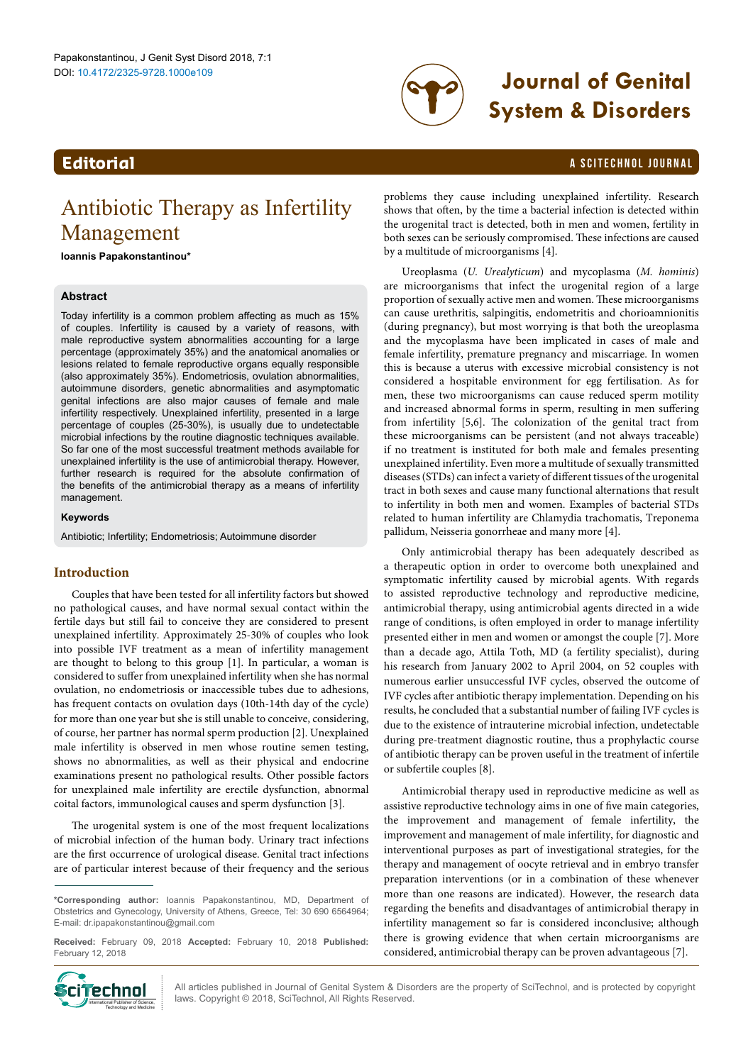

# DOI: 10.4172/2325-9728.1000e109 **Journal of Genital System & Disorders**

#### **Editorial** a Scitechnol journal and the set of the set of the set of the set of the set of the set of the set of the set of the set of the set of the set of the set of the set of the set of the set of the set of the set o

## Antibiotic Therapy as Infertility Management

**Ioannis Papakonstantinou\***

### **Abstract**

Today infertility is a common problem affecting as much as 15% of couples. Infertility is caused by a variety of reasons, with male reproductive system abnormalities accounting for a large percentage (approximately 35%) and the anatomical anomalies or lesions related to female reproductive organs equally responsible (also approximately 35%). Endometriosis, ovulation abnormalities, autoimmune disorders, genetic abnormalities and asymptomatic genital infections are also major causes of female and male infertility respectively. Unexplained infertility, presented in a large percentage of couples (25-30%), is usually due to undetectable microbial infections by the routine diagnostic techniques available. So far one of the most successful treatment methods available for unexplained infertility is the use of antimicrobial therapy. However, further research is required for the absolute confirmation of the benefits of the antimicrobial therapy as a means of infertility management.

#### **Keywords**

Antibiotic; Infertility; Endometriosis; Autoimmune disorder

#### **Introduction**

Couples that have been tested for all infertility factors but showed no pathological causes, and have normal sexual contact within the fertile days but still fail to conceive they are considered to present unexplained infertility. Approximately 25-30% of couples who look into possible IVF treatment as a mean of infertility management are thought to belong to this group [1]. In particular, a woman is considered to suffer from unexplained infertility when she has normal ovulation, no endometriosis or inaccessible tubes due to adhesions, has frequent contacts on ovulation days (10th-14th day of the cycle) for more than one year but she is still unable to conceive, considering, of course, her partner has normal sperm production [2]. Unexplained male infertility is observed in men whose routine semen testing, shows no abnormalities, as well as their physical and endocrine examinations present no pathological results. Other possible factors for unexplained male infertility are erectile dysfunction, abnormal coital factors, immunological causes and sperm dysfunction [3].

The urogenital system is one of the most frequent localizations of microbial infection of the human body. Urinary tract infections are the first occurrence of urological disease. Genital tract infections are of particular interest because of their frequency and the serious

**Received:** February 09, 2018 **Accepted:** February 10, 2018 **Published:**  February 12, 2018



All articles published in Journal of Genital System & Disorders are the property of SciTechnol, and is protected by copyright **Ciffechnol** All articles published in Journal of Genital System & Discreptional Publisher & Discreptional Publisher Science, New York Reserved.

problems they cause including unexplained infertility. Research shows that often, by the time a bacterial infection is detected within the urogenital tract is detected, both in men and women, fertility in both sexes can be seriously compromised. These infections are caused by a multitude of microorganisms [4].

Ureoplasma (*U. Urealyticum*) and mycoplasma (*M. hominis*) are microorganisms that infect the urogenital region of a large proportion of sexually active men and women. These microorganisms can cause urethritis, salpingitis, endometritis and chorioamnionitis (during pregnancy), but most worrying is that both the ureoplasma and the mycoplasma have been implicated in cases of male and female infertility, premature pregnancy and miscarriage. In women this is because a uterus with excessive microbial consistency is not considered a hospitable environment for egg fertilisation. As for men, these two microorganisms can cause reduced sperm motility and increased abnormal forms in sperm, resulting in men suffering from infertility [5,6]. The colonization of the genital tract from these microorganisms can be persistent (and not always traceable) if no treatment is instituted for both male and females presenting unexplained infertility. Even more a multitude of sexually transmitted diseases (STDs) can infect a variety of different tissues of the urogenital tract in both sexes and cause many functional alternations that result to infertility in both men and women. Examples of bacterial STDs related to human infertility are Chlamydia trachomatis, Treponema pallidum, Neisseria gonorrheae and many more [4].

Only antimicrobial therapy has been adequately described as a therapeutic option in order to overcome both unexplained and symptomatic infertility caused by microbial agents. With regards to assisted reproductive technology and reproductive medicine, antimicrobial therapy, using antimicrobial agents directed in a wide range of conditions, is often employed in order to manage infertility presented either in men and women or amongst the couple [7]. More than a decade ago, Attila Toth, MD (a fertility specialist), during his research from January 2002 to April 2004, on 52 couples with numerous earlier unsuccessful IVF cycles, observed the outcome of IVF cycles after antibiotic therapy implementation. Depending on his results, he concluded that a substantial number of failing IVF cycles is due to the existence of intrauterine microbial infection, undetectable during pre-treatment diagnostic routine, thus a prophylactic course of antibiotic therapy can be proven useful in the treatment of infertile or subfertile couples [8].

Antimicrobial therapy used in reproductive medicine as well as assistive reproductive technology aims in one of five main categories, the improvement and management of female infertility, the improvement and management of male infertility, for diagnostic and interventional purposes as part of investigational strategies, for the therapy and management of oocyte retrieval and in embryo transfer preparation interventions (or in a combination of these whenever more than one reasons are indicated). However, the research data regarding the benefits and disadvantages of antimicrobial therapy in infertility management so far is considered inconclusive; although there is growing evidence that when certain microorganisms are considered, antimicrobial therapy can be proven advantageous [7].

**<sup>\*</sup>Corresponding author:** Ioannis Papakonstantinou, MD, Department of Obstetrics and Gynecology, University of Athens, Greece, Tel: 30 690 6564964; E-mail: dr.ipapakonstantinou@gmail.com